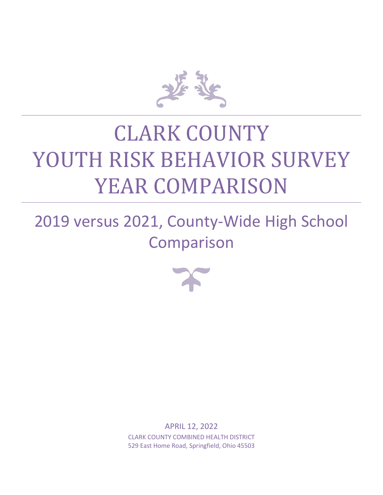

# CLARK COUNTY YOUTH RISK BEHAVIOR SURVEY YEAR COMPARISON

## 2019 versus 2021, County-Wide High School Comparison



APRIL 12, 2022 CLARK COUNTY COMBINED HEALTH DISTRICT 529 East Home Road, Springfield, Ohio 45503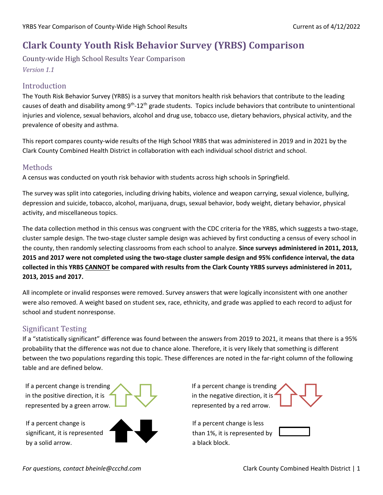### **Clark County Youth Risk Behavior Survey (YRBS) Comparison**

County-wide High School Results Year Comparison *Version 1.1*

#### Introduction

The Youth Risk Behavior Survey (YRBS) is a survey that monitors health risk behaviors that contribute to the leading causes of death and disability among 9<sup>th</sup>-12<sup>th</sup> grade students. Topics include behaviors that contribute to unintentional injuries and violence, sexual behaviors, alcohol and drug use, tobacco use, dietary behaviors, physical activity, and the prevalence of obesity and asthma.

This report compares county-wide results of the High School YRBS that was administered in 2019 and in 2021 by the Clark County Combined Health District in collaboration with each individual school district and school.

#### Methods

A census was conducted on youth risk behavior with students across high schools in Springfield.

The survey was split into categories, including driving habits, violence and weapon carrying, sexual violence, bullying, depression and suicide, tobacco, alcohol, marijuana, drugs, sexual behavior, body weight, dietary behavior, physical activity, and miscellaneous topics.

The data collection method in this census was congruent with the CDC criteria for the YRBS, which suggests a two-stage, cluster sample design. The two-stage cluster sample design was achieved by first conducting a census of every school in the county, then randomly selecting classrooms from each school to analyze. **Since surveys administered in 2011, 2013, 2015 and 2017 were not completed using the two-stage cluster sample design and 95% confidence interval, the data collected in this YRBS CANNOT be compared with results from the Clark County YRBS surveys administered in 2011, 2013, 2015 and 2017.**

All incomplete or invalid responses were removed. Survey answers that were logically inconsistent with one another were also removed. A weight based on student sex, race, ethnicity, and grade was applied to each record to adjust for school and student nonresponse.

#### Significant Testing

If a "statistically significant" difference was found between the answers from 2019 to 2021, it means that there is a 95% probability that the difference was not due to chance alone. Therefore, it is very likely that something is different between the two populations regarding this topic. These differences are noted in the far-right column of the following table and are defined below.

If a percent change is trending in the positive direction, it is represented by a green arrow.

If a percent change is significant, it is represented by a solid arrow.



If a percent change is trending in the negative direction, it is<sup>4</sup> represented by a red arrow.

If a percent change is less than 1%, it is represented by a black block.

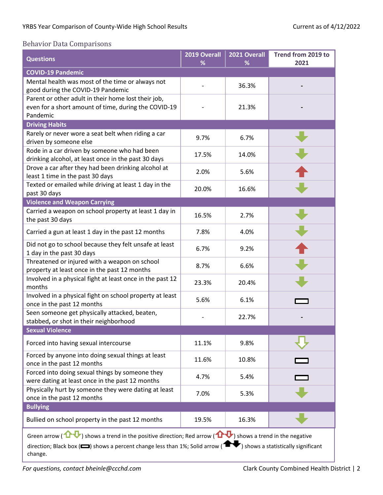#### Behavior Data Comparisons

| <b>Questions</b>                                                                                                                                                                                                                                                         | 2019 Overall<br>% | 2021 Overall<br>% | Trend from 2019 to<br>2021 |
|--------------------------------------------------------------------------------------------------------------------------------------------------------------------------------------------------------------------------------------------------------------------------|-------------------|-------------------|----------------------------|
| <b>COVID-19 Pandemic</b>                                                                                                                                                                                                                                                 |                   |                   |                            |
| Mental health was most of the time or always not<br>good during the COVID-19 Pandemic                                                                                                                                                                                    |                   | 36.3%             |                            |
| Parent or other adult in their home lost their job,<br>even for a short amount of time, during the COVID-19<br>Pandemic                                                                                                                                                  |                   | 21.3%             |                            |
| <b>Driving Habits</b>                                                                                                                                                                                                                                                    |                   |                   |                            |
| Rarely or never wore a seat belt when riding a car<br>driven by someone else                                                                                                                                                                                             | 9.7%              | 6.7%              |                            |
| Rode in a car driven by someone who had been<br>drinking alcohol, at least once in the past 30 days                                                                                                                                                                      | 17.5%             | 14.0%             |                            |
| Drove a car after they had been drinking alcohol at<br>least 1 time in the past 30 days                                                                                                                                                                                  | 2.0%              | 5.6%              |                            |
| Texted or emailed while driving at least 1 day in the<br>past 30 days                                                                                                                                                                                                    | 20.0%             | 16.6%             |                            |
| <b>Violence and Weapon Carrying</b>                                                                                                                                                                                                                                      |                   |                   |                            |
| Carried a weapon on school property at least 1 day in<br>the past 30 days                                                                                                                                                                                                | 16.5%             | 2.7%              |                            |
| Carried a gun at least 1 day in the past 12 months                                                                                                                                                                                                                       | 7.8%              | 4.0%              |                            |
| Did not go to school because they felt unsafe at least<br>1 day in the past 30 days                                                                                                                                                                                      | 6.7%              | 9.2%              |                            |
| Threatened or injured with a weapon on school<br>property at least once in the past 12 months                                                                                                                                                                            | 8.7%              | 6.6%              |                            |
| Involved in a physical fight at least once in the past 12<br>months                                                                                                                                                                                                      | 23.3%             | 20.4%             |                            |
| Involved in a physical fight on school property at least<br>once in the past 12 months                                                                                                                                                                                   | 5.6%              | 6.1%              |                            |
| Seen someone get physically attacked, beaten,<br>stabbed, or shot in their neighborhood                                                                                                                                                                                  |                   | 22.7%             |                            |
| <b>Sexual Violence</b>                                                                                                                                                                                                                                                   |                   |                   |                            |
| Forced into having sexual intercourse                                                                                                                                                                                                                                    | 11.1%             | 9.8%              |                            |
| Forced by anyone into doing sexual things at least<br>once in the past 12 months                                                                                                                                                                                         | 11.6%             | 10.8%             |                            |
| Forced into doing sexual things by someone they<br>were dating at least once in the past 12 months                                                                                                                                                                       | 4.7%              | 5.4%              |                            |
| Physically hurt by someone they were dating at least<br>once in the past 12 months                                                                                                                                                                                       | 7.0%              | 5.3%              |                            |
| <b>Bullying</b>                                                                                                                                                                                                                                                          |                   |                   |                            |
| Bullied on school property in the past 12 months                                                                                                                                                                                                                         | 19.5%             | 16.3%             |                            |
| Green arrow ( $\bigoplus$ ) shows a trend in the positive direction; Red arrow ( $\bigoplus$ ) shows a trend in the negative<br>direction; Black box ( $\Box$ ) shows a percent change less than 1%; Solid arrow ( $\Box$ ) shows a statistically significant<br>change. |                   |                   |                            |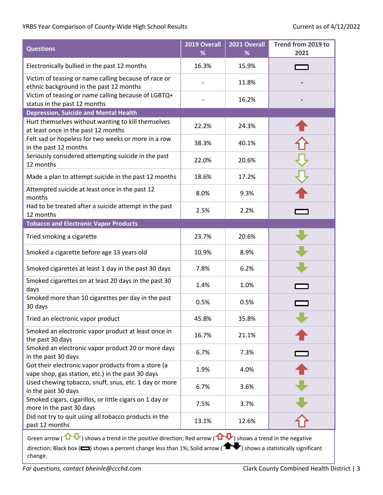| <b>Questions</b>                                                                                         | 2019 Overall<br>% | 2021 Overall<br>℅ | Trend from 2019 to<br>2021 |
|----------------------------------------------------------------------------------------------------------|-------------------|-------------------|----------------------------|
| Electronically bullied in the past 12 months                                                             | 16.3%             | 15.9%             |                            |
| Victim of teasing or name calling because of race or<br>ethnic background in the past 12 months          |                   | 11.8%             |                            |
| Victim of teasing or name calling because of LGBTQ+<br>status in the past 12 months                      |                   | 16.2%             |                            |
| <b>Depression, Suicide and Mental Health</b>                                                             |                   |                   |                            |
| Hurt themselves without wanting to kill themselves<br>at least once in the past 12 months                | 22.2%             | 24.3%             |                            |
| Felt sad or hopeless for two weeks or more in a row<br>in the past 12 months                             | 38.3%             | 40.1%             |                            |
| Seriously considered attempting suicide in the past<br>12 months                                         | 22.0%             | 20.6%             |                            |
| Made a plan to attempt suicide in the past 12 months                                                     | 18.6%             | 17.2%             |                            |
| Attempted suicide at least once in the past 12<br>months                                                 | 8.0%              | 9.3%              |                            |
| Had to be treated after a suicide attempt in the past<br>12 months                                       | 2.5%              | 2.2%              |                            |
| <b>Tobacco and Electronic Vapor Products</b>                                                             |                   |                   |                            |
| Tried smoking a cigarette                                                                                | 23.7%             | 20.6%             |                            |
| Smoked a cigarette before age 13 years old                                                               | 10.9%             | 8.9%              |                            |
| Smoked cigarettes at least 1 day in the past 30 days                                                     | 7.8%              | 6.2%              |                            |
| Smoked cigarettes on at least 20 days in the past 30<br>days                                             | 1.4%              | 1.0%              |                            |
| Smoked more than 10 cigarettes per day in the past<br>30 days                                            | 0.5%              | 0.5%              |                            |
| Tried an electronic vapor product                                                                        | 45.8%             | 35.8%             |                            |
| Smoked an electronic vapor product at least once in<br>the past 30 days                                  | 16.7%             | 21.1%             |                            |
| Smoked an electronic vapor product 20 or more days<br>in the past 30 days                                | 6.7%              | 7.3%              |                            |
| Got their electronic vapor products from a store (a<br>vape shop, gas station, etc.) in the past 30 days | 1.9%              | 4.0%              |                            |
| Used chewing tobacco, snuff, snus, etc. 1 day or more<br>in the past 30 days                             | 6.7%              | 3.6%              |                            |
| Smoked cigars, cigarillos, or little cigars on 1 day or<br>more in the past 30 days                      | 7.5%              | 3.7%              |                            |
| Did not try to quit using all tobacco products in the<br>past 12 months                                  | 13.1%             | 12.6%             |                            |
|                                                                                                          |                   |                   |                            |

Green arrow ( $\bigoplus$ ) shows a trend in the positive direction; Red arrow ( $\bigoplus$ ) shows a trend in the negative direction; Black box ( $\Box$ ) shows a percent change less than 1%; Solid arrow ( $\Box$ ) shows a statistically significant change.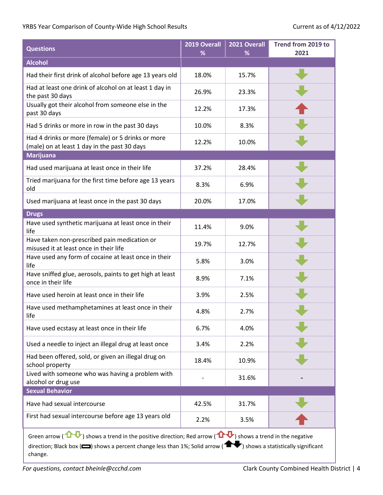| <b>Questions</b>                                                                                                                                                                                                                                                           | 2019 Overall<br>% | 2021 Overall<br>% | Trend from 2019 to<br>2021 |
|----------------------------------------------------------------------------------------------------------------------------------------------------------------------------------------------------------------------------------------------------------------------------|-------------------|-------------------|----------------------------|
| <b>Alcohol</b>                                                                                                                                                                                                                                                             |                   |                   |                            |
| Had their first drink of alcohol before age 13 years old                                                                                                                                                                                                                   | 18.0%             | 15.7%             |                            |
| Had at least one drink of alcohol on at least 1 day in<br>the past 30 days                                                                                                                                                                                                 | 26.9%             | 23.3%             |                            |
| Usually got their alcohol from someone else in the<br>past 30 days                                                                                                                                                                                                         | 12.2%             | 17.3%             |                            |
| Had 5 drinks or more in row in the past 30 days                                                                                                                                                                                                                            | 10.0%             | 8.3%              |                            |
| Had 4 drinks or more (female) or 5 drinks or more<br>(male) on at least 1 day in the past 30 days                                                                                                                                                                          | 12.2%             | 10.0%             |                            |
| <b>Marijuana</b>                                                                                                                                                                                                                                                           |                   |                   |                            |
| Had used marijuana at least once in their life                                                                                                                                                                                                                             | 37.2%             | 28.4%             |                            |
| Tried marijuana for the first time before age 13 years<br>old                                                                                                                                                                                                              | 8.3%              | 6.9%              |                            |
| Used marijuana at least once in the past 30 days                                                                                                                                                                                                                           | 20.0%             | 17.0%             |                            |
| <b>Drugs</b>                                                                                                                                                                                                                                                               |                   |                   |                            |
| Have used synthetic marijuana at least once in their<br>life                                                                                                                                                                                                               | 11.4%             | 9.0%              |                            |
| Have taken non-prescribed pain medication or<br>misused it at least once in their life                                                                                                                                                                                     | 19.7%             | 12.7%             |                            |
| Have used any form of cocaine at least once in their<br>life                                                                                                                                                                                                               | 5.8%              | 3.0%              |                            |
| Have sniffed glue, aerosols, paints to get high at least<br>once in their life                                                                                                                                                                                             | 8.9%              | 7.1%              |                            |
| Have used heroin at least once in their life                                                                                                                                                                                                                               | 3.9%              | 2.5%              |                            |
| Have used methamphetamines at least once in their<br>life                                                                                                                                                                                                                  | 4.8%              | 2.7%              |                            |
| Have used ecstasy at least once in their life                                                                                                                                                                                                                              | 6.7%              | 4.0%              |                            |
| Used a needle to inject an illegal drug at least once                                                                                                                                                                                                                      | 3.4%              | 2.2%              |                            |
| Had been offered, sold, or given an illegal drug on<br>school property                                                                                                                                                                                                     | 18.4%             | 10.9%             |                            |
| Lived with someone who was having a problem with<br>alcohol or drug use                                                                                                                                                                                                    |                   | 31.6%             |                            |
| <b>Sexual Behavior</b>                                                                                                                                                                                                                                                     |                   |                   |                            |
| Have had sexual intercourse                                                                                                                                                                                                                                                | 42.5%             | 31.7%             |                            |
| First had sexual intercourse before age 13 years old                                                                                                                                                                                                                       | 2.2%              | 3.5%              |                            |
| Green arrow ( $\mathbf{D}$ ) shows a trend in the positive direction; Red arrow ( $\mathbf{D}$ ) shows a trend in the negative<br>direction; Black box ( $\Box$ ) shows a percent change less than 1%; Solid arrow ( $\Box$ ) shows a statistically significant<br>change. |                   |                   |                            |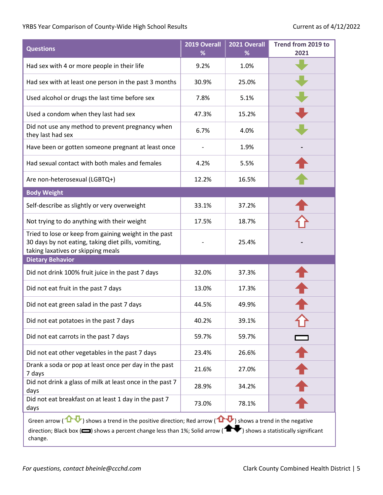| <b>Questions</b>                                                                                                                                   | 2019 Overall<br>% | 2021 Overall<br>℅ | Trend from 2019 to<br>2021 |
|----------------------------------------------------------------------------------------------------------------------------------------------------|-------------------|-------------------|----------------------------|
| Had sex with 4 or more people in their life                                                                                                        | 9.2%              | 1.0%              |                            |
| Had sex with at least one person in the past 3 months                                                                                              | 30.9%             | 25.0%             |                            |
| Used alcohol or drugs the last time before sex                                                                                                     | 7.8%              | 5.1%              |                            |
| Used a condom when they last had sex                                                                                                               | 47.3%             | 15.2%             |                            |
| Did not use any method to prevent pregnancy when<br>they last had sex                                                                              | 6.7%              | 4.0%              |                            |
| Have been or gotten someone pregnant at least once                                                                                                 |                   | 1.9%              |                            |
| Had sexual contact with both males and females                                                                                                     | 4.2%              | 5.5%              |                            |
| Are non-heterosexual (LGBTQ+)                                                                                                                      | 12.2%             | 16.5%             |                            |
| <b>Body Weight</b>                                                                                                                                 |                   |                   |                            |
| Self-describe as slightly or very overweight                                                                                                       | 33.1%             | 37.2%             |                            |
| Not trying to do anything with their weight                                                                                                        | 17.5%             | 18.7%             |                            |
| Tried to lose or keep from gaining weight in the past<br>30 days by not eating, taking diet pills, vomiting,<br>taking laxatives or skipping meals |                   | 25.4%             |                            |
| <b>Dietary Behavior</b>                                                                                                                            |                   |                   |                            |
| Did not drink 100% fruit juice in the past 7 days                                                                                                  | 32.0%             | 37.3%             |                            |
| Did not eat fruit in the past 7 days                                                                                                               | 13.0%             | 17.3%             |                            |
| Did not eat green salad in the past 7 days                                                                                                         | 44.5%             | 49.9%             |                            |
| Did not eat potatoes in the past 7 days                                                                                                            | 40.2%             | 39.1%             |                            |
| Did not eat carrots in the past 7 days                                                                                                             | 59.7%             | 59.7%             |                            |
| Did not eat other vegetables in the past 7 days                                                                                                    | 23.4%             | 26.6%             |                            |
| Drank a soda or pop at least once per day in the past<br>7 days                                                                                    | 21.6%             | 27.0%             |                            |
| Did not drink a glass of milk at least once in the past 7<br>days                                                                                  | 28.9%             | 34.2%             |                            |
| Did not eat breakfast on at least 1 day in the past 7<br>days                                                                                      | 73.0%             | 78.1%             |                            |
|                                                                                                                                                    |                   |                   |                            |

Green arrow ( $\bigoplus$ ) shows a trend in the positive direction; Red arrow ( $\bigoplus$ ) shows a trend in the negative direction; Black box ( $\Box$ ) shows a percent change less than 1%; Solid arrow ( $\Box$ ) shows a statistically significant change.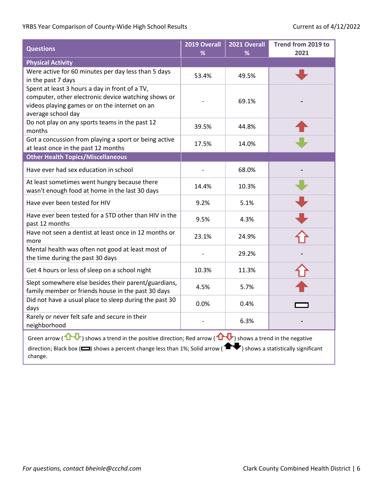| <b>Questions</b>                                                                                                                                                                                                                                                                     | 2019 Overall<br>% | 2021 Overall<br>℅ | Trend from 2019 to<br>2021 |
|--------------------------------------------------------------------------------------------------------------------------------------------------------------------------------------------------------------------------------------------------------------------------------------|-------------------|-------------------|----------------------------|
| <b>Physical Activity</b>                                                                                                                                                                                                                                                             |                   |                   |                            |
| Were active for 60 minutes per day less than 5 days<br>in the past 7 days                                                                                                                                                                                                            | 53.4%             | 49.5%             |                            |
| Spent at least 3 hours a day in front of a TV,<br>computer, other electronic device watching shows or<br>videos playing games or on the internet on an<br>average school day                                                                                                         |                   | 69.1%             |                            |
| Do not play on any sports teams in the past 12<br>months                                                                                                                                                                                                                             | 39.5%             | 44.8%             |                            |
| Got a concussion from playing a sport or being active<br>at least once in the past 12 months                                                                                                                                                                                         | 17.5%             | 14.0%             |                            |
| <b>Other Health Topics/Miscellaneous</b>                                                                                                                                                                                                                                             |                   |                   |                            |
| Have ever had sex education in school                                                                                                                                                                                                                                                |                   | 68.0%             |                            |
| At least sometimes went hungry because there<br>wasn't enough food at home in the last 30 days                                                                                                                                                                                       | 14.4%             | 10.3%             |                            |
| Have ever been tested for HIV                                                                                                                                                                                                                                                        | 9.2%              | 5.1%              |                            |
| Have ever been tested for a STD other than HIV in the<br>past 12 months                                                                                                                                                                                                              | 9.5%              | 4.3%              |                            |
| Have not seen a dentist at least once in 12 months or<br>more                                                                                                                                                                                                                        | 23.1%             | 24.9%             |                            |
| Mental health was often not good at least most of<br>the time during the past 30 days                                                                                                                                                                                                |                   | 29.2%             |                            |
| Get 4 hours or less of sleep on a school night                                                                                                                                                                                                                                       | 10.3%             | 11.3%             |                            |
| Slept somewhere else besides their parent/guardians,<br>family member or friends house in the past 30 days                                                                                                                                                                           | 4.5%              | 5.7%              |                            |
| Did not have a usual place to sleep during the past 30<br>days                                                                                                                                                                                                                       | 0.0%              | 0.4%              |                            |
| Rarely or never felt safe and secure in their<br>neighborhood                                                                                                                                                                                                                        |                   | 6.3%              |                            |
| Green arrow ( $\mathbf{\Omega}$ ) shows a trend in the positive direction; Red arrow ( $\mathbf{\Omega}$ ) shows a trend in the negative<br>direction; Black box ( $\Box$ ) shows a percent change less than 1%; Solid arrow ( $\Box$ ) shows a statistically significant<br>change. |                   |                   |                            |